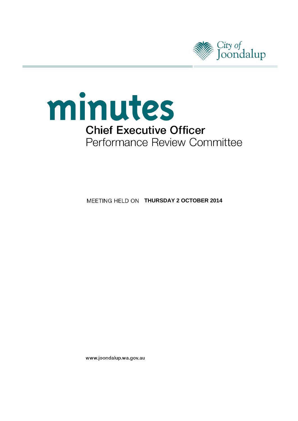



**MEETING HELD ON THURSDAY 2 OCTOBER 2014** 

www.joondalup.wa.gov.au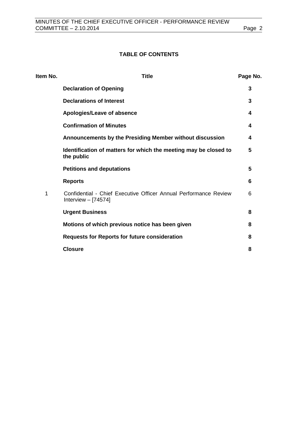# **TABLE OF CONTENTS**

| Item No. | <b>Title</b>                                                                              | Page No. |
|----------|-------------------------------------------------------------------------------------------|----------|
|          | <b>Declaration of Opening</b>                                                             | 3        |
|          | <b>Declarations of Interest</b>                                                           | 3        |
|          | Apologies/Leave of absence                                                                | 4        |
|          | <b>Confirmation of Minutes</b>                                                            | 4        |
|          | Announcements by the Presiding Member without discussion                                  | 4        |
|          | Identification of matters for which the meeting may be closed to<br>the public            | 5        |
|          | <b>Petitions and deputations</b>                                                          | 5        |
|          | <b>Reports</b>                                                                            | 6        |
| 1        | Confidential - Chief Executive Officer Annual Performance Review<br>Interview $-$ [74574] | 6        |
|          | <b>Urgent Business</b>                                                                    | 8        |
|          | Motions of which previous notice has been given                                           | 8        |
|          | <b>Requests for Reports for future consideration</b>                                      | 8        |
|          | <b>Closure</b>                                                                            | 8        |
|          |                                                                                           |          |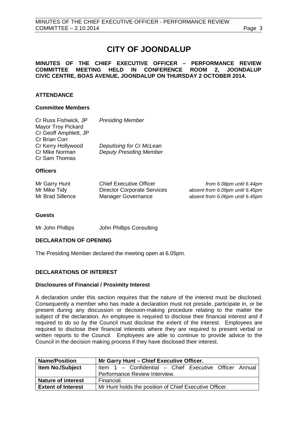# **CITY OF JOONDALUP**

### **MINUTES OF THE CHIEF EXECUTIVE OFFICER – PERFORMANCE REVIEW** MEETING HELD IN CONFERENCE ROOM 2, JOONDALUP **CIVIC CENTRE, BOAS AVENUE, JOONDALUP ON THURSDAY 2 OCTOBER 2014.**

# **ATTENDANCE**

### **Committee Members**

| Cr Russ Fishwick, JP<br>Mayor Troy Pickard<br>Cr Geoff Amphlett, JP<br><b>Cr Brian Corr</b> | <b>Presiding Member</b>                                    |                          |
|---------------------------------------------------------------------------------------------|------------------------------------------------------------|--------------------------|
| Cr Kerry Hollywood<br>Cr Mike Norman<br>Cr Sam Thomas                                       | Deputising for Cr McLean<br><b>Deputy Presiding Member</b> |                          |
| <b>Officers</b>                                                                             |                                                            |                          |
| $MrQarnL$ Hunt                                                                              | Chief Evecutive Officer                                    | from 6 Orom until 6 Adom |

| Mr Garry Hunt    | <b>Chief Executive Officer</b>     | from 6.08pm until 6.44pm        |
|------------------|------------------------------------|---------------------------------|
| Mr Mike Tidy     | <b>Director Corporate Services</b> | absent from 6.09pm until 6.45pm |
| Mr Brad Sillence | Manager Governance                 | absent from 6.06pm until 6.45pm |

### **Guests**

Mr John Phillips John Phillips Consulting

### <span id="page-2-0"></span>**DECLARATION OF OPENING**

The Presiding Member declared the meeting open at 6.05pm.

### <span id="page-2-1"></span>**DECLARATIONS OF INTEREST**

### **Disclosures of Financial / Proximity Interest**

A declaration under this section requires that the nature of the interest must be disclosed. Consequently a member who has made a declaration must not preside, participate in, or be present during any discussion or decision-making procedure relating to the matter the subject of the declaration. An employee is required to disclose their financial interest and if required to do so by the Council must disclose the extent of the interest. Employees are required to disclose their financial interests where they are required to present verbal or written reports to the Council. Employees are able to continue to provide advice to the Council in the decision making process if they have disclosed their interest.

| <b>Name/Position</b>      | Mr Garry Hunt - Chief Executive Officer.               |  |
|---------------------------|--------------------------------------------------------|--|
| <b>Item No./Subject</b>   | Item 1 - Confidential - Chief Executive Officer Annual |  |
|                           | Performance Review Interview.                          |  |
| <b>Nature of interest</b> | Financial.                                             |  |
| <b>Extent of Interest</b> | Mr Hunt holds the position of Chief Executive Officer. |  |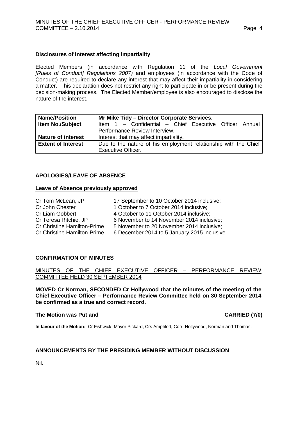### **Disclosures of interest affecting impartiality**

Elected Members (in accordance with Regulation 11 of the *Local Government [Rules of Conduct] Regulations 2007)* and employees (in accordance with the Code of Conduct) are required to declare any interest that may affect their impartiality in considering a matter. This declaration does not restrict any right to participate in or be present during the decision-making process. The Elected Member/employee is also encouraged to disclose the nature of the interest.

| <b>Name/Position</b>      | Mr Mike Tidy - Director Corporate Services.                     |  |
|---------------------------|-----------------------------------------------------------------|--|
| <b>Item No./Subject</b>   | Item 1 - Confidential - Chief Executive Officer Annual          |  |
|                           | Performance Review Interview.                                   |  |
| <b>Nature of interest</b> | Interest that may affect impartiality.                          |  |
| <b>Extent of Interest</b> | Due to the nature of his employment relationship with the Chief |  |
|                           | <b>Executive Officer.</b>                                       |  |

### <span id="page-3-0"></span>**APOLOGIES/LEAVE OF ABSENCE**

### **Leave of Absence previously approved**

| Cr Tom McLean, JP                  | 17 September to 10 October 2014 inclusive;   |
|------------------------------------|----------------------------------------------|
| Cr John Chester                    | 1 October to 7 October 2014 inclusive;       |
| <b>Cr Liam Gobbert</b>             | 4 October to 11 October 2014 inclusive;      |
| Cr Teresa Ritchie, JP              | 6 November to 14 November 2014 inclusive;    |
| <b>Cr Christine Hamilton-Prime</b> | 5 November to 20 November 2014 inclusive;    |
| <b>Cr Christine Hamilton-Prime</b> | 6 December 2014 to 5 January 2015 inclusive. |

### <span id="page-3-1"></span>**CONFIRMATION OF MINUTES**

MINUTES OF THE CHIEF EXECUTIVE OFFICER – PERFORMANCE REVIEW COMMITTEE HELD 30 SEPTEMBER 2014

**MOVED Cr Norman, SECONDED Cr Hollywood that the minutes of the meeting of the Chief Executive Officer – Performance Review Committee held on 30 September 2014 be confirmed as a true and correct record.**

## **The Motion was Put and CARRIED (7/0)**

**In favour of the Motion:** Cr Fishwick, Mayor Pickard, Crs Amphlett, Corr, Hollywood, Norman and Thomas.

## <span id="page-3-2"></span>**ANNOUNCEMENTS BY THE PRESIDING MEMBER WITHOUT DISCUSSION**

<span id="page-3-3"></span>Nil.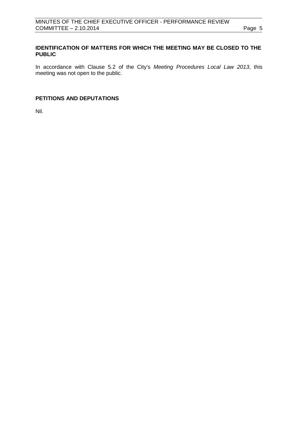## **IDENTIFICATION OF MATTERS FOR WHICH THE MEETING MAY BE CLOSED TO THE PUBLIC**

In accordance with Clause 5.2 of the City's *Meeting Procedures Local Law 2013*, this meeting was not open to the public.

# <span id="page-4-0"></span>**PETITIONS AND DEPUTATIONS**

Nil.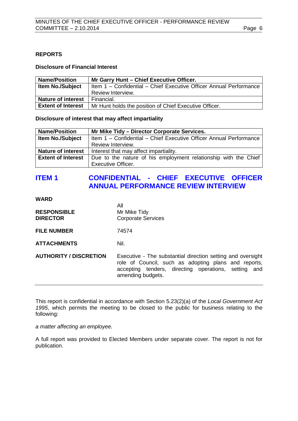## <span id="page-5-0"></span>**REPORTS**

### **Disclosure of Financial Interest**

| <b>Name/Position</b>      | Mr Garry Hunt - Chief Executive Officer.                           |
|---------------------------|--------------------------------------------------------------------|
| <b>Item No./Subject</b>   | Item 1 - Confidential - Chief Executive Officer Annual Performance |
|                           | Review Interview.                                                  |
| <b>Nature of interest</b> | Financial.                                                         |
| <b>Extent of Interest</b> | Mr Hunt holds the position of Chief Executive Officer.             |

**Disclosure of interest that may affect impartiality**

| <b>Name/Position</b>      | Mr Mike Tidy - Director Corporate Services.                        |  |
|---------------------------|--------------------------------------------------------------------|--|
| <b>Item No./Subject</b>   | Item 1 - Confidential - Chief Executive Officer Annual Performance |  |
|                           | Review Interview.                                                  |  |
| <b>Nature of interest</b> | Interest that may affect impartiality.                             |  |
| <b>Extent of Interest</b> | Due to the nature of his employment relationship with the Chief    |  |
|                           | <b>Executive Officer.</b>                                          |  |

# <span id="page-5-1"></span>**ITEM 1 CONFIDENTIAL - CHIEF EXECUTIVE OFFICER ANNUAL PERFORMANCE REVIEW INTERVIEW**

All

**WARD**

| <b>RESPONSIBLE</b><br><b>DIRECTOR</b> | All<br>Mr Mike Tidy<br><b>Corporate Services</b>                                                                                                                                                 |
|---------------------------------------|--------------------------------------------------------------------------------------------------------------------------------------------------------------------------------------------------|
| <b>FILE NUMBER</b>                    | 74574                                                                                                                                                                                            |
| <b>ATTACHMENTS</b>                    | Nil.                                                                                                                                                                                             |
| <b>AUTHORITY / DISCRETION</b>         | Executive - The substantial direction setting and oversight<br>role of Council, such as adopting plans and reports,<br>accepting tenders, directing operations, setting and<br>amending budgets. |

This report is confidential in accordance with Section 5.23(2)(a) of the *Local Government Act 1995*, which permits the meeting to be closed to the public for business relating to the following:

*a matter affecting an employee.*

A full report was provided to Elected Members under separate cover. The report is not for publication.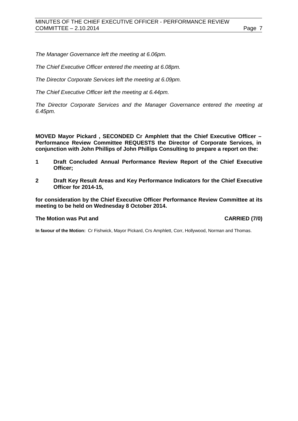*The Manager Governance left the meeting at 6.06pm.*

*The Chief Executive Officer entered the meeting at 6.08pm.*

*The Director Corporate Services left the meeting at 6.09pm.*

*The Chief Executive Officer left the meeting at 6.44pm.*

*The Director Corporate Services and the Manager Governance entered the meeting at 6.45pm.* 

**MOVED Mayor Pickard , SECONDED Cr Amphlett that the Chief Executive Officer – Performance Review Committee REQUESTS the Director of Corporate Services, in conjunction with John Phillips of John Phillips Consulting to prepare a report on the:**

- **1 Draft Concluded Annual Performance Review Report of the Chief Executive Officer;**
- **2 Draft Key Result Areas and Key Performance Indicators for the Chief Executive Officer for 2014-15,**

**for consideration by the Chief Executive Officer Performance Review Committee at its meeting to be held on Wednesday 8 October 2014.**

### **The Motion was Put and CARRIED (7/0)**

**In favour of the Motion:** Cr Fishwick, Mayor Pickard, Crs Amphlett, Corr, Hollywood, Norman and Thomas.